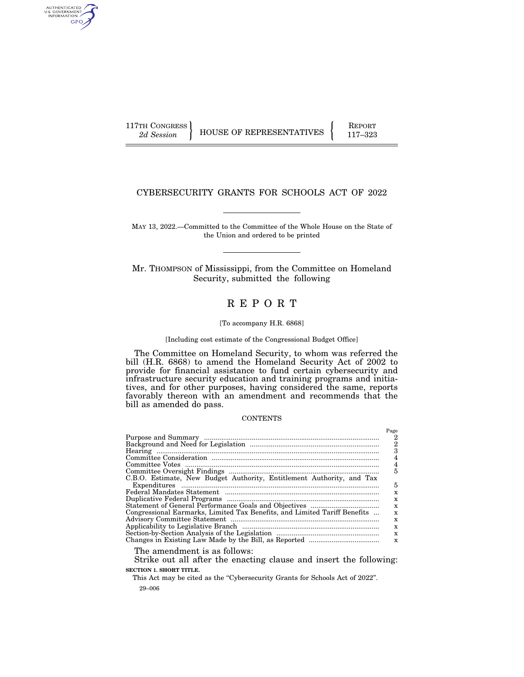AUTHENTICATED<br>U.S. GOVERNMENT<br>INFORMATION GPO

117TH CONGRESS HOUSE OF REPRESENTATIVES FEPORT 117-323

# CYBERSECURITY GRANTS FOR SCHOOLS ACT OF 2022

MAY 13, 2022.—Committed to the Committee of the Whole House on the State of the Union and ordered to be printed

Mr. THOMPSON of Mississippi, from the Committee on Homeland Security, submitted the following

# R E P O R T

#### [To accompany H.R. 6868]

# [Including cost estimate of the Congressional Budget Office]

The Committee on Homeland Security, to whom was referred the bill (H.R. 6868) to amend the Homeland Security Act of 2002 to provide for financial assistance to fund certain cybersecurity and infrastructure security education and training programs and initiatives, and for other purposes, having considered the same, reports favorably thereon with an amendment and recommends that the bill as amended do pass.

#### **CONTENTS**

The amendment is as follows:

Strike out all after the enacting clause and insert the following: **SECTION 1. SHORT TITLE.** 

29–006 This Act may be cited as the "Cybersecurity Grants for Schools Act of 2022".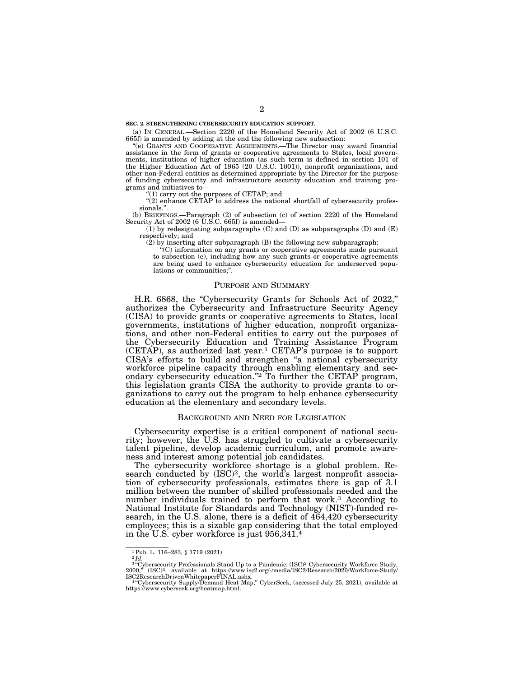**SEC. 2. STRENGTHENING CYBERSECURITY EDUCATION SUPPORT.** 

(a) IN GENERAL.—Section 2220 of the Homeland Security Act of 2002 (6 U.S.C. 665f) is amended by adding at the end the following new subsection:

''(e) GRANTS AND COOPERATIVE AGREEMENTS.—The Director may award financial assistance in the form of grants or cooperative agreements to States, local governments, institutions of higher education (as such term is defined in section 101 of the Higher Education Act of 1965 (20 U.S.C. 1001)), nonprofit organizations, and other non-Federal entities as determined appropriate by the Director for the purpose of funding cybersecurity and infrastructure security education and training programs and initiatives to—

''(1) carry out the purposes of CETAP; and

"(2) enhance CETAP to address the national shortfall of cybersecurity professionals.''.

(b) BRIEFINGS.—Paragraph (2) of subsection (c) of section 2220 of the Homeland Security Act of  $2002$  (6  $\overline{U}$ .S.C. 665f) is amended–

 $(1)$  by redesignating subparagraphs  $(C)$  and  $(D)$  as subparagraphs  $(D)$  and  $(E)$ respectively; and

 $(2)$  by inserting after subparagraph  $(B)$  the following new subparagraph:

''(C) information on any grants or cooperative agreements made pursuant to subsection (e), including how any such grants or cooperative agreements are being used to enhance cybersecurity education for underserved populations or communities;"

#### PURPOSE AND SUMMARY

H.R. 6868, the "Cybersecurity Grants for Schools Act of 2022," authorizes the Cybersecurity and Infrastructure Security Agency (CISA) to provide grants or cooperative agreements to States, local governments, institutions of higher education, nonprofit organizations, and other non-Federal entities to carry out the purposes of the Cybersecurity Education and Training Assistance Program  $(CETAP)$ , as authorized last year.<sup>1</sup> CETAP's purpose is to support CISA's efforts to build and strengthen ''a national cybersecurity workforce pipeline capacity through enabling elementary and secondary cybersecurity education."<sup>2</sup> To further the CETAP program, this legislation grants CISA the authority to provide grants to organizations to carry out the program to help enhance cybersecurity education at the elementary and secondary levels.

#### BACKGROUND AND NEED FOR LEGISLATION

Cybersecurity expertise is a critical component of national security; however, the U.S. has struggled to cultivate a cybersecurity talent pipeline, develop academic curriculum, and promote awareness and interest among potential job candidates.

The cybersecurity workforce shortage is a global problem. Research conducted by  $(ISC)^2$ , the world's largest nonprofit association of cybersecurity professionals, estimates there is gap of 3.1 million between the number of skilled professionals needed and the number individuals trained to perform that work.3 According to National Institute for Standards and Technology (NIST)-funded research, in the U.S. alone, there is a deficit of  $\widetilde{464,420}$  cybersecurity employees; this is a sizable gap considering that the total employed in the U.S. cyber workforce is just 956,341.4

 $^1$  Pub. L. 116–283,  $\S$ 1719 (2021).<br> $^2 \, Id.$ <br/> $^2$  and  $^2$  and  $^2$ <br/> $^2$  and  $^3$  arcy<br/>bersecurity Professionals Stand Up to a Pandemic: (ISC)<br/> $^2$  Cybersecurity Workforce Study,  $2000, ^8$  <br/>(ISC)^2,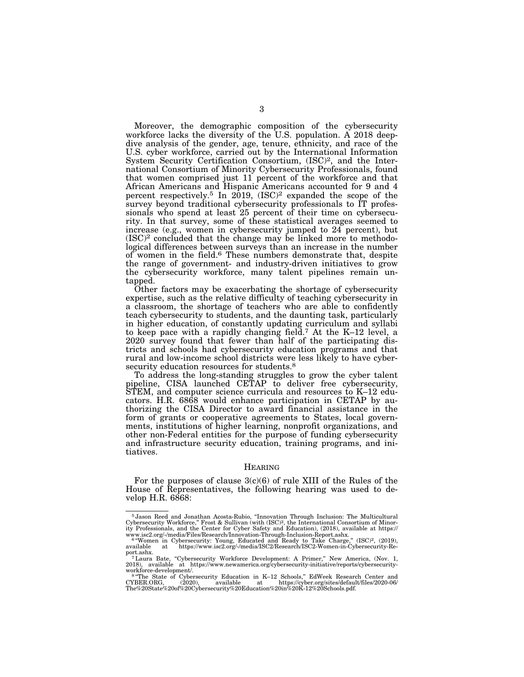Moreover, the demographic composition of the cybersecurity workforce lacks the diversity of the U.S. population. A 2018 deepdive analysis of the gender, age, tenure, ethnicity, and race of the U.S. cyber workforce, carried out by the International Information System Security Certification Consortium, (ISC)2, and the International Consortium of Minority Cybersecurity Professionals, found that women comprised just 11 percent of the workforce and that African Americans and Hispanic Americans accounted for 9 and 4 percent respectively.<sup>5</sup> In  $2019$ ,  $(ISC)^2$  expanded the scope of the survey beyond traditional cybersecurity professionals to IT professionals who spend at least 25 percent of their time on cybersecurity. In that survey, some of these statistical averages seemed to increase (e.g., women in cybersecurity jumped to 24 percent), but (ISC)2 concluded that the change may be linked more to methodological differences between surveys than an increase in the number of women in the field.6 These numbers demonstrate that, despite the range of government- and industry-driven initiatives to grow the cybersecurity workforce, many talent pipelines remain untapped.

Other factors may be exacerbating the shortage of cybersecurity expertise, such as the relative difficulty of teaching cybersecurity in a classroom, the shortage of teachers who are able to confidently teach cybersecurity to students, and the daunting task, particularly in higher education, of constantly updating curriculum and syllabi to keep pace with a rapidly changing field.7 At the K–12 level, a 2020 survey found that fewer than half of the participating districts and schools had cybersecurity education programs and that rural and low-income school districts were less likely to have cybersecurity education resources for students.<sup>8</sup>

To address the long-standing struggles to grow the cyber talent pipeline, CISA launched CETAP to deliver free cybersecurity, STEM, and computer science curricula and resources to K–12 educators. H.R. 6868 would enhance participation in CETAP by authorizing the CISA Director to award financial assistance in the form of grants or cooperative agreements to States, local governments, institutions of higher learning, nonprofit organizations, and other non-Federal entities for the purpose of funding cybersecurity and infrastructure security education, training programs, and initiatives.

#### HEARING

For the purposes of clause  $3(c)(6)$  of rule XIII of the Rules of the House of Representatives, the following hearing was used to develop H.R. 6868:

<sup>5</sup> Jason Reed and Jonathan Acosta-Rubio, ''Innovation Through Inclusion: The Multicultural Cybersecurity Workforce," Frost & Sullivan (with (ISC)<sup>2</sup>, the International Consortium of Minority Professionals, and the Center for Cyber Safety and Education), (2018), available at https://<br>www.isc2.org/-/media/Files/Re

port.ashx.<br>
7 Laura Bate, "Cybersecurity Workforce Development: A Primer," New America, (Nov. 1,<br>
7 Laura Bate, "Cybersecurity-workforce Development: A Primer," New America, (Nov. 1,<br>
2018), available at https://www.newame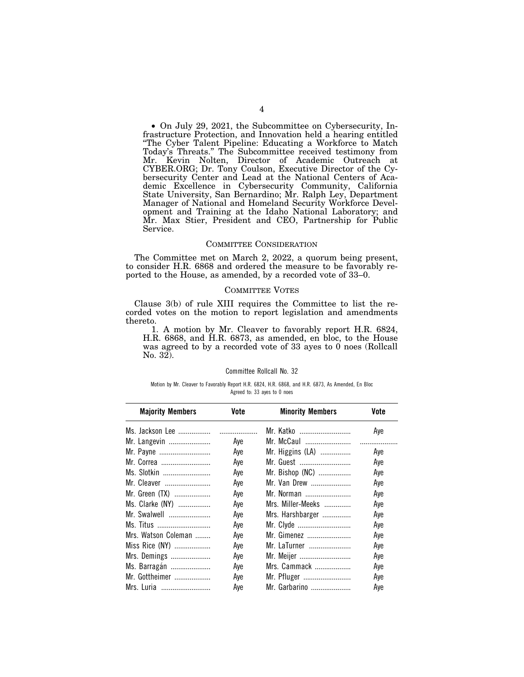• On July 29, 2021, the Subcommittee on Cybersecurity, Infrastructure Protection, and Innovation held a hearing entitled ''The Cyber Talent Pipeline: Educating a Workforce to Match Today's Threats.'' The Subcommittee received testimony from Mr. Kevin Nolten, Director of Academic Outreach at CYBER.ORG; Dr. Tony Coulson, Executive Director of the Cybersecurity Center and Lead at the National Centers of Academic Excellence in Cybersecurity Community, California State University, San Bernardino; Mr. Ralph Ley, Department Manager of National and Homeland Security Workforce Development and Training at the Idaho National Laboratory; and Mr. Max Stier, President and CEO, Partnership for Public Service.

#### COMMITTEE CONSIDERATION

The Committee met on March 2, 2022, a quorum being present, to consider H.R. 6868 and ordered the measure to be favorably reported to the House, as amended, by a recorded vote of 33–0.

#### COMMITTEE VOTES

Clause 3(b) of rule XIII requires the Committee to list the recorded votes on the motion to report legislation and amendments thereto.

1. A motion by Mr. Cleaver to favorably report H.R. 6824, H.R. 6868, and H.R. 6873, as amended, en bloc, to the House was agreed to by a recorded vote of 33 ayes to 0 noes (Rollcall No. 32).

#### Committee Rollcall No. 32

#### Motion by Mr. Cleaver to Favorably Report H.R. 6824, H.R. 6868, and H.R. 6873, As Amended, En Bloc Agreed to: 33 ayes to 0 noes

| <b>Majority Members</b> | Vote | <b>Minority Members</b> | Vote |
|-------------------------|------|-------------------------|------|
| Ms. Jackson Lee         |      | Mr. Katko               | Aye  |
| Mr. Langevin            | Aye  | Mr. McCaul              |      |
| Mr. Payne               | Aye  | Mr. Higgins (LA)        | Aye  |
| Mr. Correa              | Aye  | Mr. Guest               | Aye  |
| Ms. Slotkin             | Aye  | Mr. Bishop (NC)         | Aye  |
| Mr. Cleaver             | Aye  | Mr. Van Drew            | Aye  |
| Mr. Green (TX)          | Aye  | Mr. Norman              | Aye  |
| Ms. Clarke (NY)         | Aye  | Mrs. Miller-Meeks       | Aye  |
| Mr. Swalwell            | Aye  | Mrs. Harshbarger        | Aye  |
| Ms. Titus               | Aye  | Mr. Clyde               | Aye  |
| Mrs. Watson Coleman     | Aye  | Mr. Gimenez             | Aye  |
| Miss Rice (NY)          | Aye  | Mr. LaTurner            | Aye  |
| Mrs. Demings            | Aye  | Mr. Meijer              | Aye  |
| Ms. Barragán            | Aye  | Mrs. Cammack            | Aye  |
| Mr. Gottheimer          | Aye  | Mr. Pfluger             | Aye  |
| Mrs. Luria              | Aye  | Mr. Garbarino           | Aye  |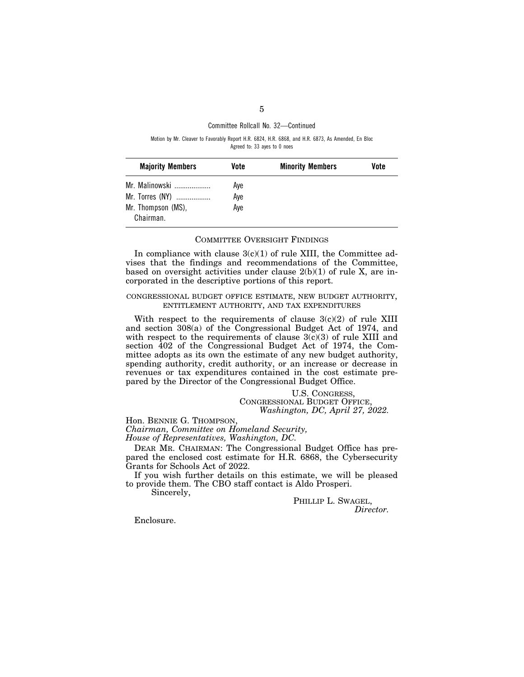## Committee Rollcall No. 32—Continued

Motion by Mr. Cleaver to Favorably Report H.R. 6824, H.R. 6868, and H.R. 6873, As Amended, En Bloc Agreed to: 33 ayes to 0 noes

| <b>Majority Members</b>         | Vote | <b>Minority Members</b> | Vote |
|---------------------------------|------|-------------------------|------|
| Mr. Malinowski                  | Aye  |                         |      |
| Mr. Torres (NY)                 | Aye  |                         |      |
| Mr. Thompson (MS),<br>Chairman. | Ave  |                         |      |

## COMMITTEE OVERSIGHT FINDINGS

In compliance with clause  $3(c)(1)$  of rule XIII, the Committee advises that the findings and recommendations of the Committee, based on oversight activities under clause  $2(b)(1)$  of rule X, are incorporated in the descriptive portions of this report.

## CONGRESSIONAL BUDGET OFFICE ESTIMATE, NEW BUDGET AUTHORITY, ENTITLEMENT AUTHORITY, AND TAX EXPENDITURES

With respect to the requirements of clause  $3(c)(2)$  of rule XIII and section 308(a) of the Congressional Budget Act of 1974, and with respect to the requirements of clause  $3(c)(3)$  of rule XIII and section 402 of the Congressional Budget Act of 1974, the Committee adopts as its own the estimate of any new budget authority, spending authority, credit authority, or an increase or decrease in revenues or tax expenditures contained in the cost estimate prepared by the Director of the Congressional Budget Office.

## U.S. CONGRESS, CONGRESSIONAL BUDGET OFFICE, *Washington, DC, April 27, 2022.*

Hon. BENNIE G. THOMPSON, *Chairman, Committee on Homeland Security, House of Representatives, Washington, DC.* 

DEAR MR. CHAIRMAN: The Congressional Budget Office has prepared the enclosed cost estimate for H.R. 6868, the Cybersecurity Grants for Schools Act of 2022.

If you wish further details on this estimate, we will be pleased to provide them. The CBO staff contact is Aldo Prosperi.

Sincerely,

PHILLIP L. SWAGEL, *Director.* 

Enclosure.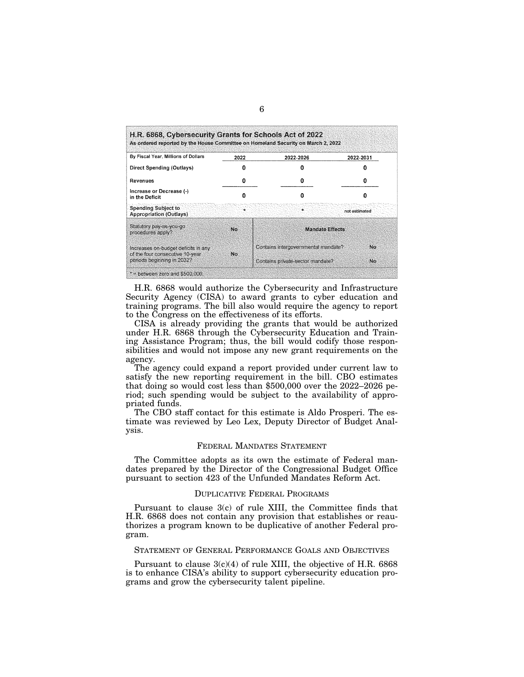| By Fiscal Year, Millions of Dollars                                     | 2022 | 2022-2026                           | 2022-2031     |
|-------------------------------------------------------------------------|------|-------------------------------------|---------------|
| <b>Direct Spending (Outlays)</b>                                        |      |                                     |               |
| Revenues                                                                | Ω    |                                     |               |
| Increase or Decrease (-)<br>in the Deficit                              |      | o                                   |               |
| <b>Spending Subject to</b><br><b>Appropriation (Outlays)</b>            |      |                                     | not estimated |
| Statutory pay-as-you-go<br>procedures apply?                            | No   | <b>Mandate Effects</b>              |               |
| Increases on-budget deficits in any<br>of the four consecutive 10-year. | No   | Contains intergovernmental mandate? | No            |
| periods beginning in 2032?                                              |      | Contains private-sector mandate?    | No            |

H.R. 6868 would authorize the Cybersecurity and Infrastructure Security Agency (CISA) to award grants to cyber education and training programs. The bill also would require the agency to report to the Congress on the effectiveness of its efforts.

CISA is already providing the grants that would be authorized under H.R. 6868 through the Cybersecurity Education and Training Assistance Program; thus, the bill would codify those responsibilities and would not impose any new grant requirements on the agency.

The agency could expand a report provided under current law to satisfy the new reporting requirement in the bill. CBO estimates that doing so would cost less than \$500,000 over the 2022–2026 period; such spending would be subject to the availability of appropriated funds.

The CBO staff contact for this estimate is Aldo Prosperi. The estimate was reviewed by Leo Lex, Deputy Director of Budget Analysis.

#### FEDERAL MANDATES STATEMENT

The Committee adopts as its own the estimate of Federal mandates prepared by the Director of the Congressional Budget Office pursuant to section 423 of the Unfunded Mandates Reform Act.

#### DUPLICATIVE FEDERAL PROGRAMS

Pursuant to clause 3(c) of rule XIII, the Committee finds that H.R. 6868 does not contain any provision that establishes or reauthorizes a program known to be duplicative of another Federal program.

#### STATEMENT OF GENERAL PERFORMANCE GOALS AND OBJECTIVES

Pursuant to clause 3(c)(4) of rule XIII, the objective of H.R. 6868 is to enhance CISA's ability to support cybersecurity education programs and grow the cybersecurity talent pipeline.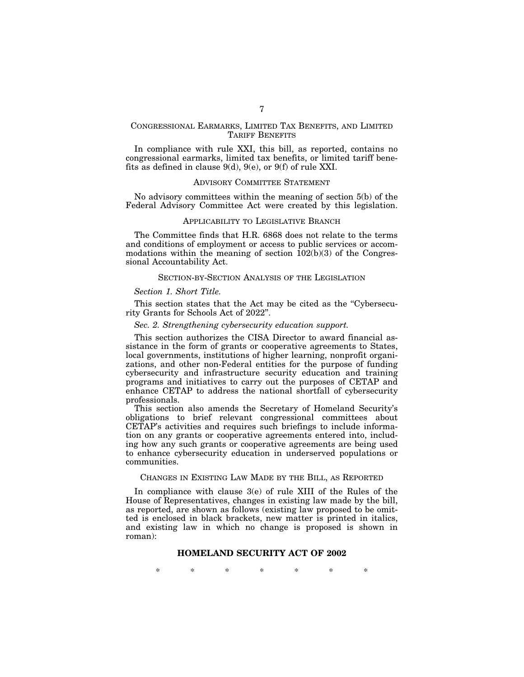# CONGRESSIONAL EARMARKS, LIMITED TAX BENEFITS, AND LIMITED TARIFF BENEFITS

In compliance with rule XXI, this bill, as reported, contains no congressional earmarks, limited tax benefits, or limited tariff benefits as defined in clause 9(d), 9(e), or 9(f) of rule XXI.

#### ADVISORY COMMITTEE STATEMENT

No advisory committees within the meaning of section 5(b) of the Federal Advisory Committee Act were created by this legislation.

# APPLICABILITY TO LEGISLATIVE BRANCH

The Committee finds that H.R. 6868 does not relate to the terms and conditions of employment or access to public services or accommodations within the meaning of section  $102(b)(3)$  of the Congressional Accountability Act.

# SECTION-BY-SECTION ANALYSIS OF THE LEGISLATION

#### *Section 1. Short Title.*

This section states that the Act may be cited as the "Cybersecurity Grants for Schools Act of 2022''.

#### *Sec. 2. Strengthening cybersecurity education support.*

This section authorizes the CISA Director to award financial assistance in the form of grants or cooperative agreements to States, local governments, institutions of higher learning, nonprofit organizations, and other non-Federal entities for the purpose of funding cybersecurity and infrastructure security education and training programs and initiatives to carry out the purposes of CETAP and enhance CETAP to address the national shortfall of cybersecurity professionals.

This section also amends the Secretary of Homeland Security's obligations to brief relevant congressional committees about CETAP's activities and requires such briefings to include information on any grants or cooperative agreements entered into, including how any such grants or cooperative agreements are being used to enhance cybersecurity education in underserved populations or communities.

### CHANGES IN EXISTING LAW MADE BY THE BILL, AS REPORTED

In compliance with clause 3(e) of rule XIII of the Rules of the House of Representatives, changes in existing law made by the bill, as reported, are shown as follows (existing law proposed to be omitted is enclosed in black brackets, new matter is printed in italics, and existing law in which no change is proposed is shown in roman):

# **HOMELAND SECURITY ACT OF 2002**

\* \* \* \* \* \* \*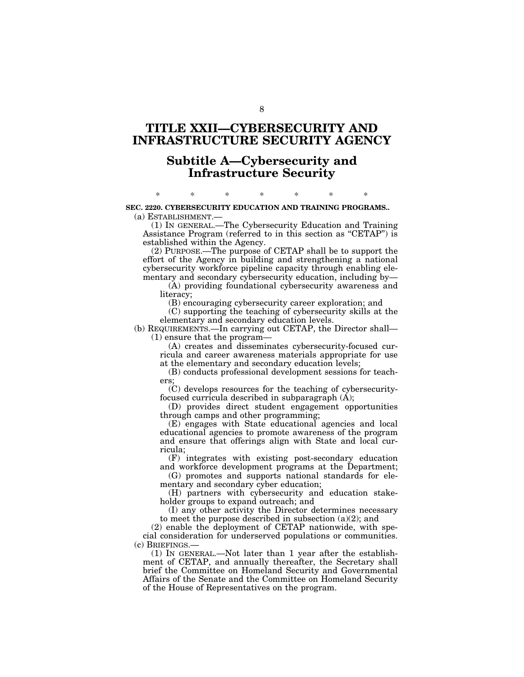# **TITLE XXII—CYBERSECURITY AND INFRASTRUCTURE SECURITY AGENCY**

# **Subtitle A—Cybersecurity and Infrastructure Security**

# \* \* \* \* \* \* \* **SEC. 2220. CYBERSECURITY EDUCATION AND TRAINING PROGRAMS..**

(a) ESTABLISHMENT.—

(1) IN GENERAL.—The Cybersecurity Education and Training Assistance Program (referred to in this section as "CETAP") is established within the Agency.

(2) PURPOSE.—The purpose of CETAP shall be to support the effort of the Agency in building and strengthening a national cybersecurity workforce pipeline capacity through enabling elementary and secondary cybersecurity education, including by—

(A) providing foundational cybersecurity awareness and literacy;

(B) encouraging cybersecurity career exploration; and

(C) supporting the teaching of cybersecurity skills at the elementary and secondary education levels.

(b) REQUIREMENTS.—In carrying out CETAP, the Director shall— (1) ensure that the program—

(A) creates and disseminates cybersecurity-focused curricula and career awareness materials appropriate for use at the elementary and secondary education levels;

(B) conducts professional development sessions for teachers;

(C) develops resources for the teaching of cybersecurityfocused curricula described in subparagraph (A);

(D) provides direct student engagement opportunities through camps and other programming;

(E) engages with State educational agencies and local educational agencies to promote awareness of the program and ensure that offerings align with State and local curricula;

(F) integrates with existing post-secondary education and workforce development programs at the Department;

(G) promotes and supports national standards for elementary and secondary cyber education;

(H) partners with cybersecurity and education stakeholder groups to expand outreach; and

(I) any other activity the Director determines necessary to meet the purpose described in subsection  $(a)(2)$ ; and

(2) enable the deployment of CETAP nationwide, with special consideration for underserved populations or communities. (c) BRIEFINGS.—

(1) IN GENERAL.—Not later than 1 year after the establishment of CETAP, and annually thereafter, the Secretary shall brief the Committee on Homeland Security and Governmental Affairs of the Senate and the Committee on Homeland Security of the House of Representatives on the program.